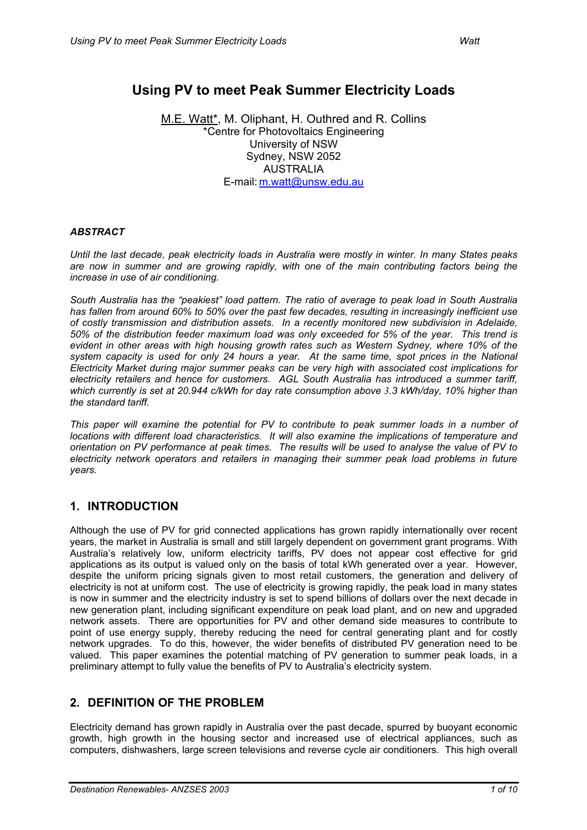# **Using PV to meet Peak Summer Electricity Loads**

M.E. Watt\*, M. Oliphant, H. Outhred and R. Collins \*Centre for Photovoltaics Engineering University of NSW Sydney, NSW 2052 AUSTRALIA E-mail: [m.watt@unsw.edu.au](mailto:m.watt@unsw.edu.au) 

#### *ABSTRACT*

*Until the last decade, peak electricity loads in Australia were mostly in winter. In many States peaks are now in summer and are growing rapidly, with one of the main contributing factors being the increase in use of air conditioning.* 

*South Australia has the "peakiest" load pattern. The ratio of average to peak load in South Australia has fallen from around 60% to 50% over the past few decades, resulting in increasingly inefficient use of costly transmission and distribution assets. In a recently monitored new subdivision in Adelaide, 50% of the distribution feeder maximum load was only exceeded for 5% of the year. This trend is evident in other areas with high housing growth rates such as Western Sydney, where 10% of the system capacity is used for only 24 hours a year. At the same time, spot prices in the National Electricity Market during major summer peaks can be very high with associated cost implications for electricity retailers and hence for customers. AGL South Australia has introduced a summer tariff, which currently is set at 20.944 c/kWh for day rate consumption above 3.3 kWh/day, 10% higher than the standard tariff.* 

*This paper will examine the potential for PV to contribute to peak summer loads in a number of locations with different load characteristics. It will also examine the implications of temperature and orientation on PV performance at peak times. The results will be used to analyse the value of PV to electricity network operators and retailers in managing their summer peak load problems in future years.* 

### **1. INTRODUCTION**

Although the use of PV for grid connected applications has grown rapidly internationally over recent years, the market in Australia is small and still largely dependent on government grant programs. With Australia's relatively low, uniform electricity tariffs, PV does not appear cost effective for grid applications as its output is valued only on the basis of total kWh generated over a year. However, despite the uniform pricing signals given to most retail customers, the generation and delivery of electricity is not at uniform cost. The use of electricity is growing rapidly, the peak load in many states is now in summer and the electricity industry is set to spend billions of dollars over the next decade in new generation plant, including significant expenditure on peak load plant, and on new and upgraded network assets. There are opportunities for PV and other demand side measures to contribute to point of use energy supply, thereby reducing the need for central generating plant and for costly network upgrades. To do this, however, the wider benefits of distributed PV generation need to be valued. This paper examines the potential matching of PV generation to summer peak loads, in a preliminary attempt to fully value the benefits of PV to Australia's electricity system.

### **2. DEFINITION OF THE PROBLEM**

Electricity demand has grown rapidly in Australia over the past decade, spurred by buoyant economic growth, high growth in the housing sector and increased use of electrical appliances, such as computers, dishwashers, large screen televisions and reverse cycle air conditioners. This high overall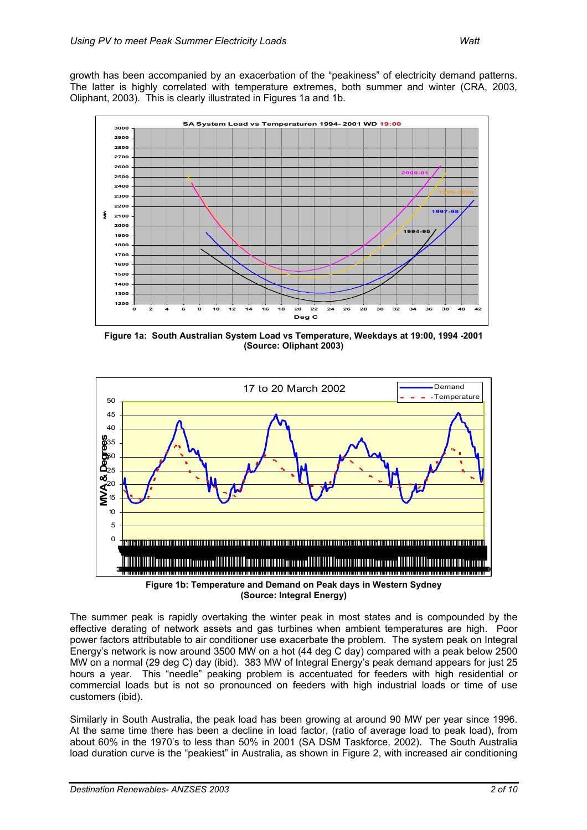

**Figure 1a: South Australian System Load vs Temperature, Weekdays at 19:00, 1994 -2001 (Source: Oliphant 2003)** 



**(Source: Integral Energy)** 

The summer peak is rapidly overtaking the winter peak in most states and is compounded by the effective derating of network assets and gas turbines when ambient temperatures are high. Poor power factors attributable to air conditioner use exacerbate the problem. The system peak on Integral Energy's network is now around 3500 MW on a hot (44 deg C day) compared with a peak below 2500 MW on a normal (29 deg C) day (ibid). 383 MW of Integral Energy's peak demand appears for just 25 hours a year. This "needle" peaking problem is accentuated for feeders with high residential or commercial loads but is not so pronounced on feeders with high industrial loads or time of use customers (ibid).

Similarly in South Australia, the peak load has been growing at around 90 MW per year since 1996. At the same time there has been a decline in load factor, (ratio of average load to peak load), from about 60% in the 1970's to less than 50% in 2001 (SA DSM Taskforce, 2002). The South Australia load duration curve is the "peakiest" in Australia, as shown in Figure 2, with increased air conditioning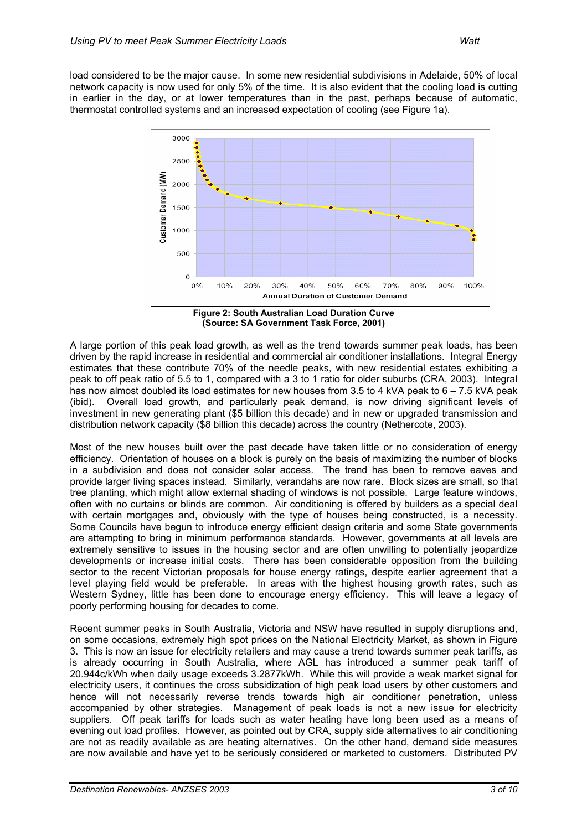load considered to be the major cause. In some new residential subdivisions in Adelaide, 50% of local network capacity is now used for only 5% of the time. It is also evident that the cooling load is cutting in earlier in the day, or at lower temperatures than in the past, perhaps because of automatic, thermostat controlled systems and an increased expectation of cooling (see Figure 1a).



**(Source: SA Government Task Force, 2001)** 

A large portion of this peak load growth, as well as the trend towards summer peak loads, has been driven by the rapid increase in residential and commercial air conditioner installations. Integral Energy estimates that these contribute 70% of the needle peaks, with new residential estates exhibiting a peak to off peak ratio of 5.5 to 1, compared with a 3 to 1 ratio for older suburbs (CRA, 2003). Integral has now almost doubled its load estimates for new houses from 3.5 to 4 kVA peak to 6 – 7.5 kVA peak (ibid). Overall load growth, and particularly peak demand, is now driving significant levels of investment in new generating plant (\$5 billion this decade) and in new or upgraded transmission and distribution network capacity (\$8 billion this decade) across the country (Nethercote, 2003).

Most of the new houses built over the past decade have taken little or no consideration of energy efficiency. Orientation of houses on a block is purely on the basis of maximizing the number of blocks in a subdivision and does not consider solar access. The trend has been to remove eaves and provide larger living spaces instead. Similarly, verandahs are now rare. Block sizes are small, so that tree planting, which might allow external shading of windows is not possible. Large feature windows, often with no curtains or blinds are common. Air conditioning is offered by builders as a special deal with certain mortgages and, obviously with the type of houses being constructed, is a necessity. Some Councils have begun to introduce energy efficient design criteria and some State governments are attempting to bring in minimum performance standards. However, governments at all levels are extremely sensitive to issues in the housing sector and are often unwilling to potentially jeopardize developments or increase initial costs. There has been considerable opposition from the building sector to the recent Victorian proposals for house energy ratings, despite earlier agreement that a level playing field would be preferable. In areas with the highest housing growth rates, such as Western Sydney, little has been done to encourage energy efficiency. This will leave a legacy of poorly performing housing for decades to come.

Recent summer peaks in South Australia, Victoria and NSW have resulted in supply disruptions and, on some occasions, extremely high spot prices on the National Electricity Market, as shown in Figure 3. This is now an issue for electricity retailers and may cause a trend towards summer peak tariffs, as is already occurring in South Australia, where AGL has introduced a summer peak tariff of 20.944c/kWh when daily usage exceeds 3.2877kWh. While this will provide a weak market signal for electricity users, it continues the cross subsidization of high peak load users by other customers and hence will not necessarily reverse trends towards high air conditioner penetration, unless accompanied by other strategies. Management of peak loads is not a new issue for electricity suppliers. Off peak tariffs for loads such as water heating have long been used as a means of evening out load profiles. However, as pointed out by CRA, supply side alternatives to air conditioning are not as readily available as are heating alternatives. On the other hand, demand side measures are now available and have yet to be seriously considered or marketed to customers. Distributed PV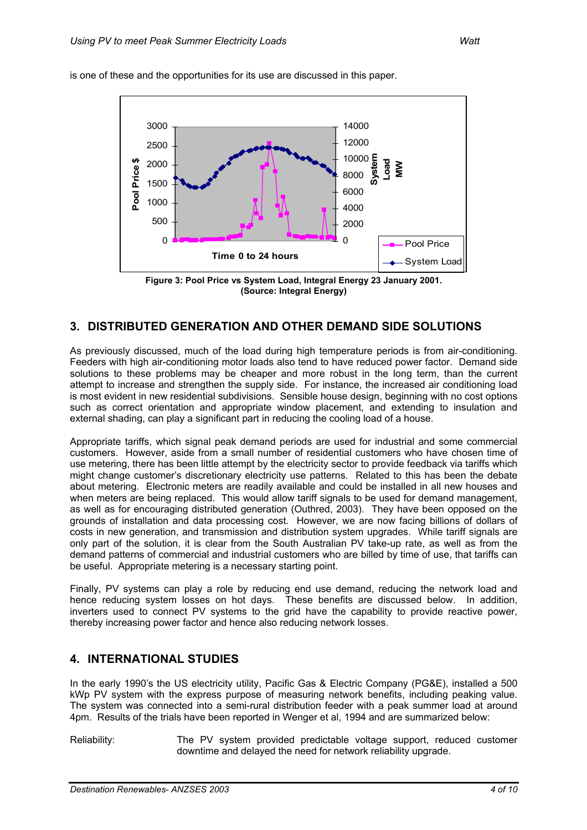

is one of these and the opportunities for its use are discussed in this paper.

**Figure 3: Pool Price vs System Load, Integral Energy 23 January 2001. (Source: Integral Energy)** 

#### **3. DISTRIBUTED GENERATION AND OTHER DEMAND SIDE SOLUTIONS**

As previously discussed, much of the load during high temperature periods is from air-conditioning. Feeders with high air-conditioning motor loads also tend to have reduced power factor. Demand side solutions to these problems may be cheaper and more robust in the long term, than the current attempt to increase and strengthen the supply side. For instance, the increased air conditioning load is most evident in new residential subdivisions. Sensible house design, beginning with no cost options such as correct orientation and appropriate window placement, and extending to insulation and external shading, can play a significant part in reducing the cooling load of a house.

Appropriate tariffs, which signal peak demand periods are used for industrial and some commercial customers. However, aside from a small number of residential customers who have chosen time of use metering, there has been little attempt by the electricity sector to provide feedback via tariffs which might change customer's discretionary electricity use patterns. Related to this has been the debate about metering. Electronic meters are readily available and could be installed in all new houses and when meters are being replaced. This would allow tariff signals to be used for demand management, as well as for encouraging distributed generation (Outhred, 2003). They have been opposed on the grounds of installation and data processing cost. However, we are now facing billions of dollars of costs in new generation, and transmission and distribution system upgrades. While tariff signals are only part of the solution, it is clear from the South Australian PV take-up rate, as well as from the demand patterns of commercial and industrial customers who are billed by time of use, that tariffs can be useful. Appropriate metering is a necessary starting point.

Finally, PV systems can play a role by reducing end use demand, reducing the network load and hence reducing system losses on hot days. These benefits are discussed below. In addition, inverters used to connect PV systems to the grid have the capability to provide reactive power, thereby increasing power factor and hence also reducing network losses.

#### **4. INTERNATIONAL STUDIES**

In the early 1990's the US electricity utility, Pacific Gas & Electric Company (PG&E), installed a 500 kWp PV system with the express purpose of measuring network benefits, including peaking value. The system was connected into a semi-rural distribution feeder with a peak summer load at around 4pm. Results of the trials have been reported in Wenger et al, 1994 and are summarized below:

Reliability: The PV system provided predictable voltage support, reduced customer downtime and delayed the need for network reliability upgrade.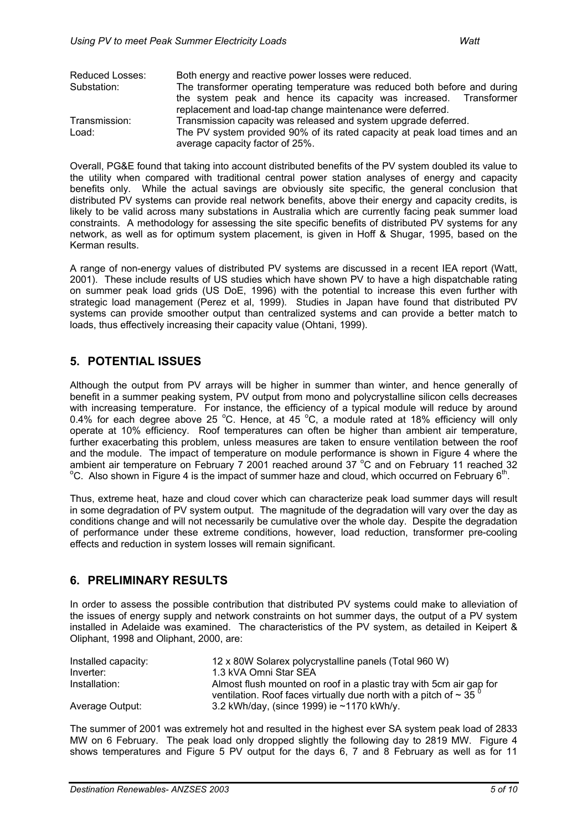| Reduced Losses: | Both energy and reactive power losses were reduced.                        |  |
|-----------------|----------------------------------------------------------------------------|--|
| Substation:     | The transformer operating temperature was reduced both before and during   |  |
|                 | the system peak and hence its capacity was increased. Transformer          |  |
|                 | replacement and load-tap change maintenance were deferred.                 |  |
| Transmission:   | Transmission capacity was released and system upgrade deferred.            |  |
| Load:           | The PV system provided 90% of its rated capacity at peak load times and an |  |
|                 | average capacity factor of 25%.                                            |  |

Overall, PG&E found that taking into account distributed benefits of the PV system doubled its value to the utility when compared with traditional central power station analyses of energy and capacity benefits only. While the actual savings are obviously site specific, the general conclusion that distributed PV systems can provide real network benefits, above their energy and capacity credits, is likely to be valid across many substations in Australia which are currently facing peak summer load constraints. A methodology for assessing the site specific benefits of distributed PV systems for any network, as well as for optimum system placement, is given in Hoff & Shugar, 1995, based on the Kerman results.

A range of non-energy values of distributed PV systems are discussed in a recent IEA report (Watt, 2001). These include results of US studies which have shown PV to have a high dispatchable rating on summer peak load grids (US DoE, 1996) with the potential to increase this even further with strategic load management (Perez et al, 1999). Studies in Japan have found that distributed PV systems can provide smoother output than centralized systems and can provide a better match to loads, thus effectively increasing their capacity value (Ohtani, 1999).

### **5. POTENTIAL ISSUES**

Although the output from PV arrays will be higher in summer than winter, and hence generally of benefit in a summer peaking system, PV output from mono and polycrystalline silicon cells decreases with increasing temperature. For instance, the efficiency of a typical module will reduce by around 0.4% for each degree above 25 °C. Hence, at 45 °C, a module rated at 18% efficiency will only operate at 10% efficiency. Roof temperatures can often be higher than ambient air temperature, further exacerbating this problem, unless measures are taken to ensure ventilation between the roof and the module. The impact of temperature on module performance is shown in Figure 4 where the ambient air temperature on February 7 2001 reached around 37  $^{\circ}$ C and on February 11 reached 32<br> $^{\circ}$ C also shown in Figure 4 is the impact of summer haze and alsud which equivalent February 6<sup>th</sup>  $\rm{^o}C$ . Also shown in Figure 4 is the impact of summer haze and cloud, which occurred on February 6<sup>th</sup>.

Thus, extreme heat, haze and cloud cover which can characterize peak load summer days will result in some degradation of PV system output. The magnitude of the degradation will vary over the day as conditions change and will not necessarily be cumulative over the whole day. Despite the degradation of performance under these extreme conditions, however, load reduction, transformer pre-cooling effects and reduction in system losses will remain significant.

### **6. PRELIMINARY RESULTS**

In order to assess the possible contribution that distributed PV systems could make to alleviation of the issues of energy supply and network constraints on hot summer days, the output of a PV system installed in Adelaide was examined. The characteristics of the PV system, as detailed in Keipert & Oliphant, 1998 and Oliphant, 2000, are:

| Installed capacity: | 12 x 80W Solarex polycrystalline panels (Total 960 W)                                                                                                   |
|---------------------|---------------------------------------------------------------------------------------------------------------------------------------------------------|
| Inverter:           | 1.3 kVA Omni Star SEA                                                                                                                                   |
| Installation:       | Almost flush mounted on roof in a plastic tray with 5cm air gap for<br>ventilation. Roof faces virtually due north with a pitch of $\sim$ 35 $^{\circ}$ |
| Average Output:     | 3.2 kWh/day, (since 1999) ie $\sim$ 1170 kWh/y.                                                                                                         |

The summer of 2001 was extremely hot and resulted in the highest ever SA system peak load of 2833 MW on 6 February. The peak load only dropped slightly the following day to 2819 MW. Figure 4 shows temperatures and Figure 5 PV output for the days 6, 7 and 8 February as well as for 11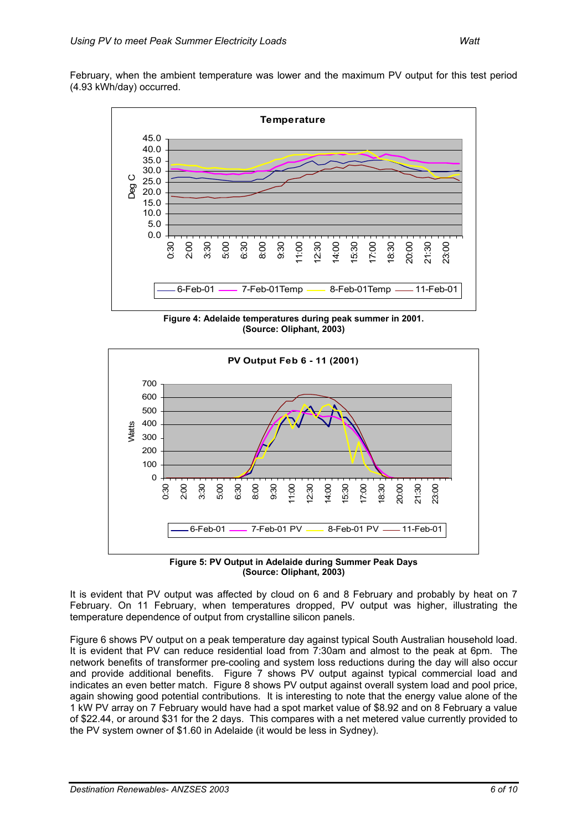February, when the ambient temperature was lower and the maximum PV output for this test period (4.93 kWh/day) occurred.



**Figure 4: Adelaide temperatures during peak summer in 2001. (Source: Oliphant, 2003)** 





It is evident that PV output was affected by cloud on 6 and 8 February and probably by heat on 7 February. On 11 February, when temperatures dropped, PV output was higher, illustrating the temperature dependence of output from crystalline silicon panels.

Figure 6 shows PV output on a peak temperature day against typical South Australian household load. It is evident that PV can reduce residential load from 7:30am and almost to the peak at 6pm. The network benefits of transformer pre-cooling and system loss reductions during the day will also occur and provide additional benefits. Figure 7 shows PV output against typical commercial load and indicates an even better match. Figure 8 shows PV output against overall system load and pool price, again showing good potential contributions. It is interesting to note that the energy value alone of the 1 kW PV array on 7 February would have had a spot market value of \$8.92 and on 8 February a value of \$22.44, or around \$31 for the 2 days. This compares with a net metered value currently provided to the PV system owner of \$1.60 in Adelaide (it would be less in Sydney).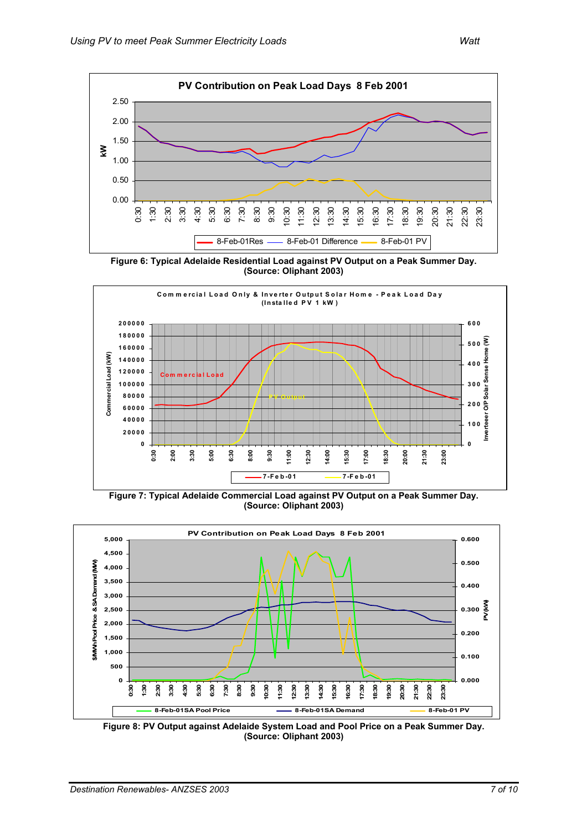

**Figure 6: Typical Adelaide Residential Load against PV Output on a Peak Summer Day. (Source: Oliphant 2003)** 



**Figure 7: Typical Adelaide Commercial Load against PV Output on a Peak Summer Day. (Source: Oliphant 2003)** 



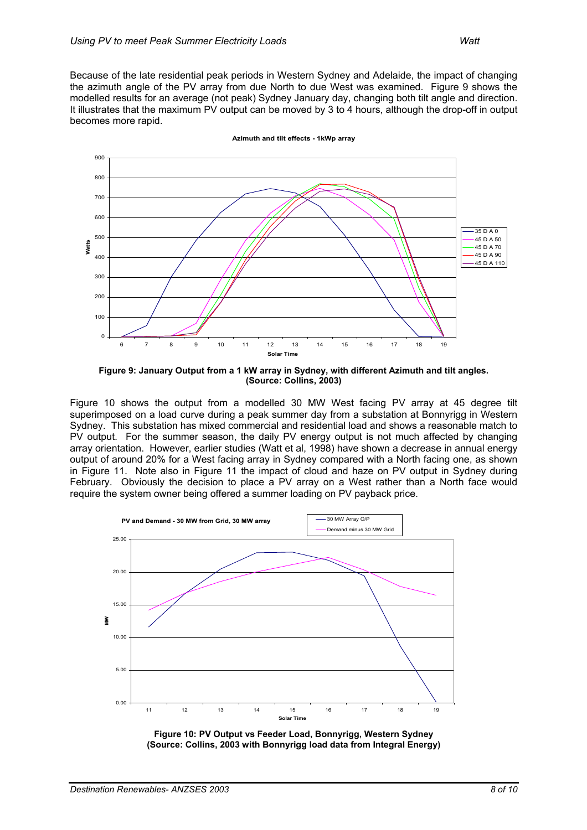Because of the late residential peak periods in Western Sydney and Adelaide, the impact of changing the azimuth angle of the PV array from due North to due West was examined. Figure 9 shows the modelled results for an average (not peak) Sydney January day, changing both tilt angle and direction. It illustrates that the maximum PV output can be moved by 3 to 4 hours, although the drop-off in output becomes more rapid.



**Azimuth and tilt effects - 1kWp array**

**Figure 9: January Output from a 1 kW array in Sydney, with different Azimuth and tilt angles. (Source: Collins, 2003)** 

Figure 10 shows the output from a modelled 30 MW West facing PV array at 45 degree tilt superimposed on a load curve during a peak summer day from a substation at Bonnyrigg in Western Sydney. This substation has mixed commercial and residential load and shows a reasonable match to PV output. For the summer season, the daily PV energy output is not much affected by changing array orientation. However, earlier studies (Watt et al, 1998) have shown a decrease in annual energy output of around 20% for a West facing array in Sydney compared with a North facing one, as shown in Figure 11. Note also in Figure 11 the impact of cloud and haze on PV output in Sydney during February. Obviously the decision to place a PV array on a West rather than a North face would require the system owner being offered a summer loading on PV payback price.



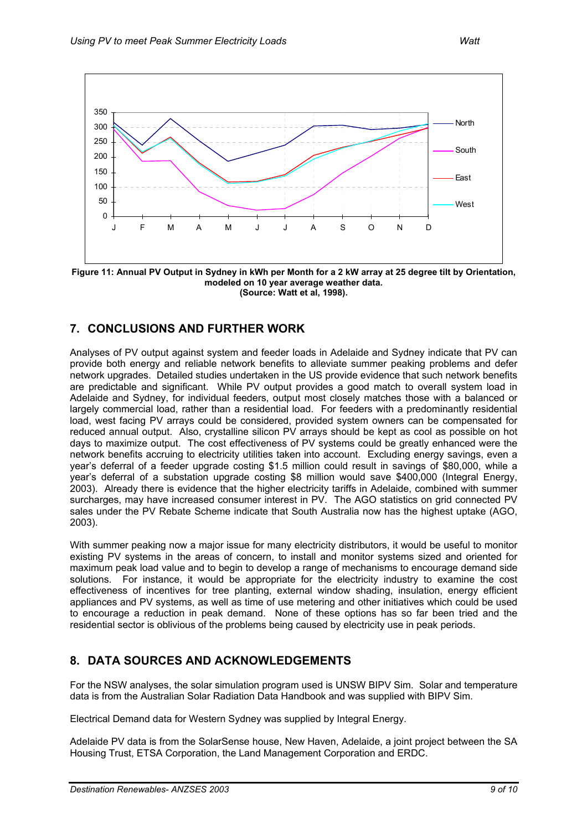

**Figure 11: Annual PV Output in Sydney in kWh per Month for a 2 kW array at 25 degree tilt by Orientation, modeled on 10 year average weather data. (Source: Watt et al, 1998).** 

## **7. CONCLUSIONS AND FURTHER WORK**

Analyses of PV output against system and feeder loads in Adelaide and Sydney indicate that PV can provide both energy and reliable network benefits to alleviate summer peaking problems and defer network upgrades. Detailed studies undertaken in the US provide evidence that such network benefits are predictable and significant. While PV output provides a good match to overall system load in Adelaide and Sydney, for individual feeders, output most closely matches those with a balanced or largely commercial load, rather than a residential load. For feeders with a predominantly residential load, west facing PV arrays could be considered, provided system owners can be compensated for reduced annual output. Also, crystalline silicon PV arrays should be kept as cool as possible on hot days to maximize output. The cost effectiveness of PV systems could be greatly enhanced were the network benefits accruing to electricity utilities taken into account. Excluding energy savings, even a year's deferral of a feeder upgrade costing \$1.5 million could result in savings of \$80,000, while a year's deferral of a substation upgrade costing \$8 million would save \$400,000 (Integral Energy, 2003). Already there is evidence that the higher electricity tariffs in Adelaide, combined with summer surcharges, may have increased consumer interest in PV. The AGO statistics on grid connected PV sales under the PV Rebate Scheme indicate that South Australia now has the highest uptake (AGO, 2003).

With summer peaking now a major issue for many electricity distributors, it would be useful to monitor existing PV systems in the areas of concern, to install and monitor systems sized and oriented for maximum peak load value and to begin to develop a range of mechanisms to encourage demand side solutions. For instance, it would be appropriate for the electricity industry to examine the cost effectiveness of incentives for tree planting, external window shading, insulation, energy efficient appliances and PV systems, as well as time of use metering and other initiatives which could be used to encourage a reduction in peak demand. None of these options has so far been tried and the residential sector is oblivious of the problems being caused by electricity use in peak periods.

### **8. DATA SOURCES AND ACKNOWLEDGEMENTS**

For the NSW analyses, the solar simulation program used is UNSW BIPV Sim. Solar and temperature data is from the Australian Solar Radiation Data Handbook and was supplied with BIPV Sim.

Electrical Demand data for Western Sydney was supplied by Integral Energy.

Adelaide PV data is from the SolarSense house, New Haven, Adelaide, a joint project between the SA Housing Trust, ETSA Corporation, the Land Management Corporation and ERDC.